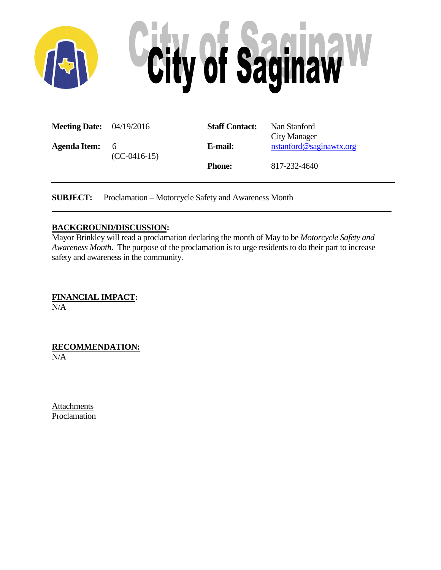

| <b>Meeting Date:</b> $04/19/2016$ |                       | <b>Staff Contact:</b> | Nan Stanford                            |
|-----------------------------------|-----------------------|-----------------------|-----------------------------------------|
| Agenda Item:                      | - 6<br>$(CC-0416-15)$ | E-mail:               | City Manager<br>nstanford@saginawtx.org |
|                                   |                       | <b>Phone:</b>         | 817-232-4640                            |

**SUBJECT:** Proclamation – Motorcycle Safety and Awareness Month

### **BACKGROUND/DISCUSSION:**

Mayor Brinkley will read a proclamation declaring the month of May to be *Motorcycle Safety and Awareness Month*. The purpose of the proclamation is to urge residents to do their part to increase safety and awareness in the community.

**\_\_\_\_\_\_\_\_\_\_\_\_\_\_\_\_\_\_\_\_\_\_\_\_\_\_\_\_\_\_\_\_\_\_\_\_\_\_\_\_\_\_\_\_\_\_\_\_\_\_\_\_\_\_\_\_\_\_\_\_\_\_\_\_\_\_\_\_\_\_\_\_\_\_\_\_\_\_\_\_\_\_**

**FINANCIAL IMPACT:** N/A

**RECOMMENDATION:** N/A

**Attachments** Proclamation